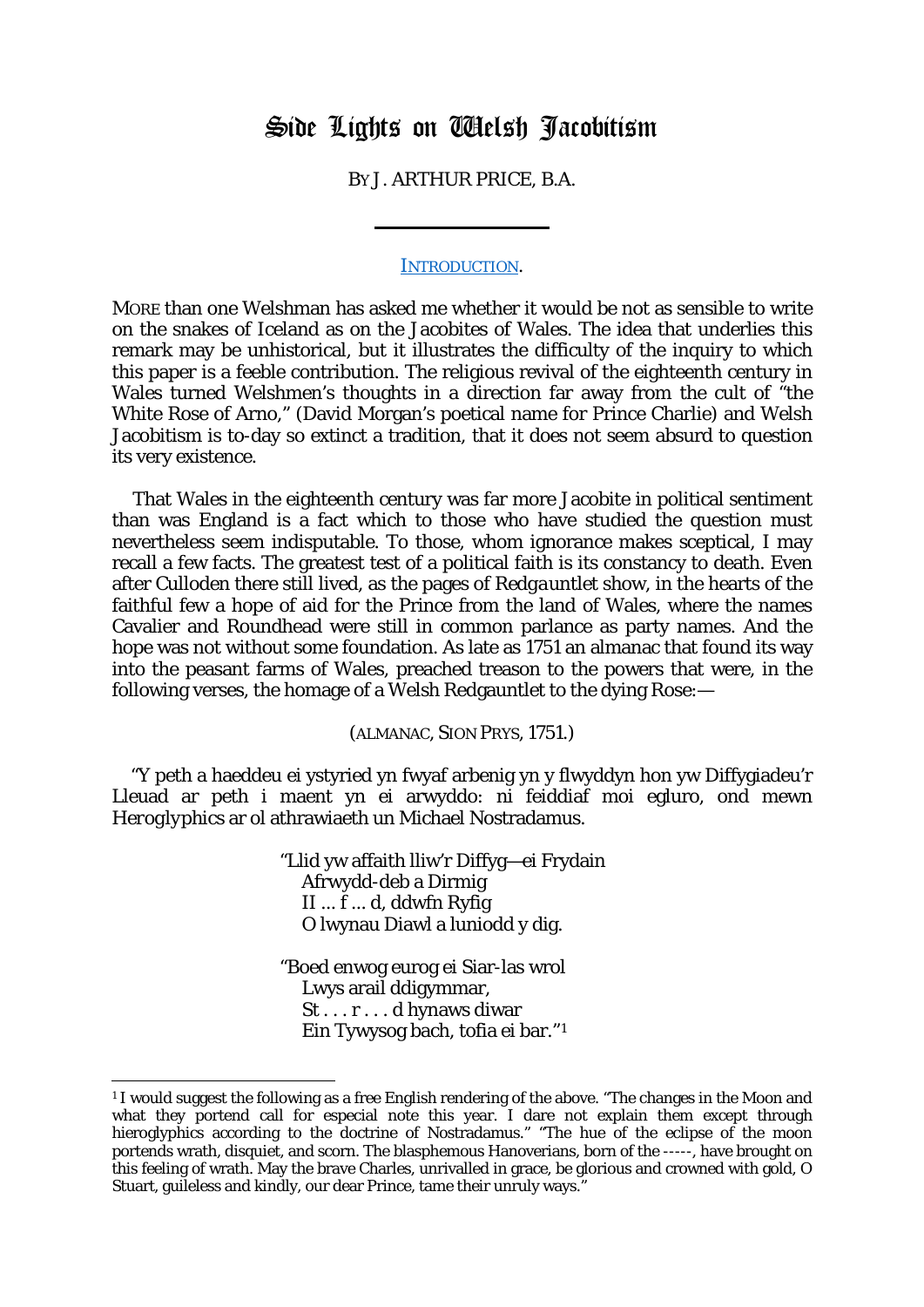# Side Lights on Welsh Jacobitism

BY J. ARTHUR PRICE, B.A.

## [INTRODUCTION.](http://books.google.com/books?id=pbm3KK8EsaAC&pg=PA136&lpg=PA138&ots=I8HxR11owr&dq=%22Welsh+Jacobitism%22)

MORE than one Welshman has asked me whether it would be not as sensible to write on the snakes of Iceland as on the Jacobites of Wales. The idea that underlies this remark may be unhistorical, but it illustrates the difficulty of the inquiry to which this paper is a feeble contribution. The religious revival of the eighteenth century in Wales turned Welshmen's thoughts in a direction far away from the cult of "the White Rose of Arno," (David Morgan's poetical name for Prince Charlie) and Welsh Jacobitism is to-day so extinct a tradition, that it does not seem absurd to question its very existence.

That Wales in the eighteenth century was far more Jacobite in political sentiment than was England is a fact which to those who have studied the question must nevertheless seem indisputable. To those, whom ignorance makes sceptical, I may recall a few facts. The greatest test of a political faith is its constancy to death. Even after Culloden there still lived, as the pages of *Redgauntlet* show, in the hearts of the faithful few a hope of aid for the Prince from the land of Wales, where the names Cavalier and Roundhead were still in common parlance as party names. And the hope was not without some foundation. As late as 1751 an almanac that found its way into the peasant farms of Wales, preached treason to the powers that were, in the following verses, the homage of a Welsh Redgauntlet to the dying Rose:—

(ALMANAC, SION PRYS, 1751.)

"Y peth a haeddeu ei ystyried yn fwyaf arbenig yn y flwyddyn hon yw Diffygiadeu'r Lleuad ar peth i maent yn ei arwyddo: ni feiddiaf moi egluro, ond mewn *Heroglyphics* ar ol athrawiaeth un Michael Nostradamus.

> "Llid yw affaith lliw'r Diffyg—ei Frydain Afrwydd-deb a Dirmig II ... f ... d, ddwfn Ryfig O lwynau Diawl a luniodd y dig.

"Boed enwog eurog ei Siar-las wrol Lwys arail ddigymmar, St . . . r . . . d hynaws diwar Ein Tywysog bach, tofia ei bar."[1](#page-0-0)

**.** 

<span id="page-0-0"></span><sup>1</sup> I would suggest the following as a free English rendering of the above. "The changes in the Moon and what they portend call for especial note this year. I dare not explain them except through hieroglyphics according to the doctrine of Nostradamus." "The hue of the eclipse of the moon portends wrath, disquiet, and scorn. The blasphemous Hanoverians, born of the -----, have brought on this feeling of wrath. May the brave Charles, unrivalled in grace, be glorious and crowned with gold, O Stuart, guileless and kindly, our dear Prince, tame their unruly ways."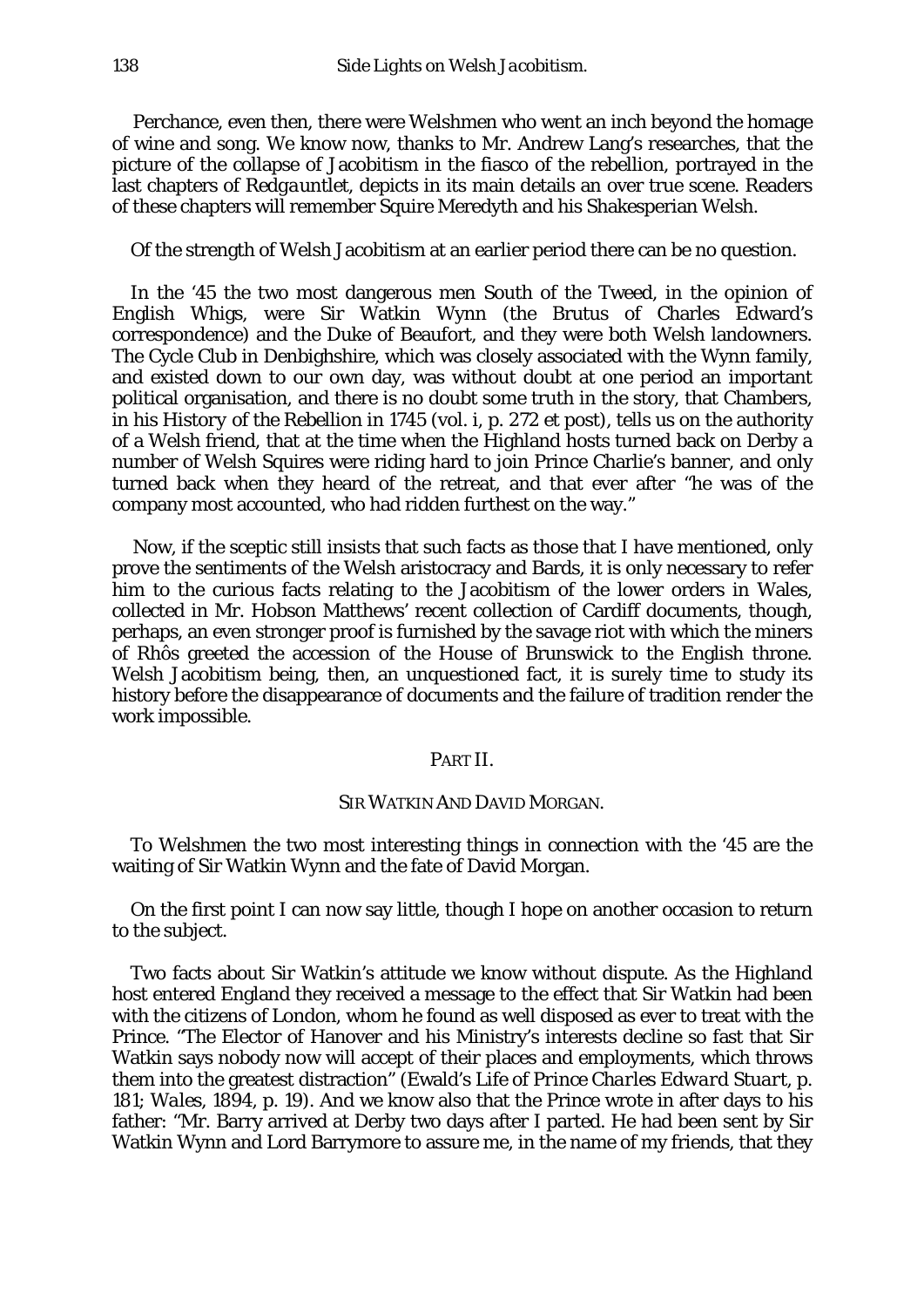Perchance, even then, there were Welshmen who went an inch beyond the homage of wine and song. We know now, thanks to Mr. Andrew Lang's researches, that the picture of the collapse of Jacobitism in the fiasco of the rebellion, portrayed in the last chapters of *Redgauntlet,* depicts in its main details an over true scene. Readers of these chapters will remember Squire Meredyth and his Shakesperian Welsh.

Of the strength of Welsh Jacobitism at an earlier period there can be no question.

In the '45 the two most dangerous men South of the Tweed, in the opinion of English Whigs, were Sir Watkin Wynn (the Brutus of Charles Edward's correspondence) and the Duke of Beaufort, and they were both Welsh landowners. The Cycle Club in Denbighshire, which was closely associated with the Wynn family, and existed down to our own day, was without doubt at one period an important political organisation, and there is no doubt some truth in the story, that Chambers, in his *History of the Rebellion in 1745* (vol. i, p. 272 *et post),* tells us on the authority of a Welsh friend, that at the time when the Highland hosts turned back on Derby a number of Welsh Squires were riding hard to join Prince Charlie's banner, and only turned back when they heard of the retreat, and that ever after "he was of the company most accounted, who had ridden furthest on the way."

Now, if the sceptic still insists that such facts as those that I have mentioned, only prove the sentiments of the Welsh aristocracy and Bards, it is only necessary to refer him to the curious facts relating to the Jacobitism of the lower orders in Wales, collected in Mr. Hobson Matthews' recent collection of Cardiff documents, though, perhaps, an even stronger proof is furnished by the savage riot with which the miners of Rhôs greeted the accession of the House of Brunswick to the English throne. Welsh Jacobitism being, then, an unquestioned fact, it is surely time to study its history before the disappearance of documents and the failure of tradition render the work impossible.

## PART II.

## SIR WATKIN AND DAVID MORGAN.

To Welshmen the two most interesting things in connection with the '45 are the waiting of Sir Watkin Wynn and the fate of David Morgan.

On the first point I can now say little, though I hope on another occasion to return to the subject.

Two facts about Sir Watkin's attitude we know without dispute. As the Highland host entered England they received a message to the effect that Sir Watkin had been with the citizens of London, whom he found as well disposed as ever to treat with the Prince. "The Elector of Hanover and his Ministry's interests decline so fast that Sir Watkin says nobody now will accept of their places and employments, which throws them into the greatest distraction" (Ewald's *Life of Prince Charles Edward Stuart,* p. 181; *Wales,* 1894, p. 19). And we know also that the Prince wrote in after days to his father: "Mr. Barry arrived at Derby two days after I parted. He had been sent by Sir Watkin Wynn and Lord Barrymore to assure me, in the name of my friends, that they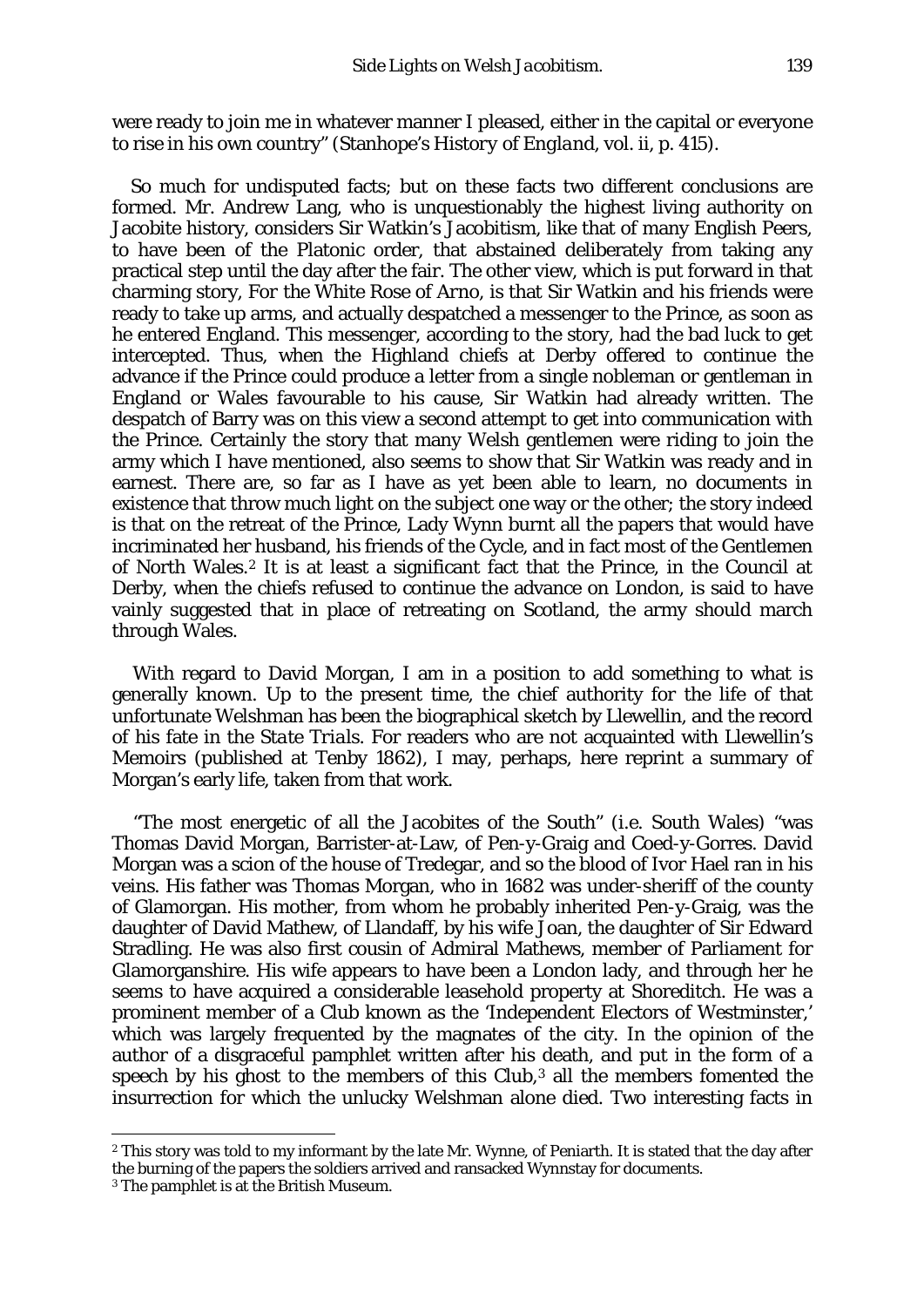were ready to join me in whatever manner I pleased, either in the capital or everyone to rise in his own country" (Stanhope's *History of England,* vol. ii, p. 415).

So much for undisputed facts; but on these facts two different conclusions are formed. Mr. Andrew Lang, who is unquestionably the highest living authority on Jacobite history, considers Sir Watkin's Jacobitism, like that of many English Peers, to have been of the Platonic order, that abstained deliberately from taking any practical step until the day after the fair. The other view, which is put forward in that charming story, *For the White Rose of Arno,* is that Sir Watkin and his friends were ready to take up arms, and actually despatched a messenger to the Prince, as soon as he entered England. This messenger, according to the story, had the bad luck to get intercepted. Thus, when the Highland chiefs at Derby offered to continue the advance if the Prince could produce a letter from a single nobleman or gentleman in England or Wales favourable to his cause, Sir Watkin had already written. The despatch of Barry was on this view a second attempt to get into communication with the Prince. Certainly the story that many Welsh gentlemen were riding to join the army which I have mentioned, also seems to show that Sir Watkin was ready and in earnest. There are, so far as I have as yet been able to learn, no documents in existence that throw much light on the subject one way or the other; the story indeed is that on the retreat of the Prince, Lady Wynn burnt all the papers that would have incriminated her husband, his friends of the Cycle, and in fact most of the Gentlemen of North Wales.[2](#page-2-0) It is at least a significant fact that the Prince, in the Council at Derby, when the chiefs refused to continue the advance on London, is said to have vainly suggested that in place of retreating on Scotland, the army should march through Wales.

With regard to David Morgan, I am in a position to add something to what is generally known. Up to the present time, the chief authority for the life of that unfortunate Welshman has been the biographical sketch by Llewellin, and the record of his fate in the *State Trials.* For readers who are not acquainted with Llewellin's Memoirs (published at Tenby 1862), I may, perhaps, here reprint a summary of Morgan's early life, taken from that work.

"The most energetic of all the Jacobites of the South" *(i.e.* South Wales) "was Thomas David Morgan, Barrister-at-Law, of Pen-y-Graig and Coed-y-Gorres. David Morgan was a scion of the house of Tredegar, and so the blood of Ivor Hael ran in his veins. His father was Thomas Morgan, who in 1682 was under-sheriff of the county of Glamorgan. His mother, from whom he probably inherited Pen-y-Graig, was the daughter of David Mathew, of Llandaff, by his wife Joan, the daughter of Sir Edward Stradling. He was also first cousin of Admiral Mathews, member of Parliament for Glamorganshire. His wife appears to have been a London lady, and through her he seems to have acquired a considerable leasehold property at Shoreditch. He was a prominent member of a Club known as the 'Independent Electors of Westminster,' which was largely frequented by the magnates of the city. In the opinion of the author of a disgraceful pamphlet written after his death, and put in the form of a speech by his ghost to the members of this Club,<sup>[3](#page-2-1)</sup> all the members fomented the insurrection for which the unlucky Welshman alone died. Two interesting facts in

**.** 

<span id="page-2-0"></span><sup>2</sup> This story was told to my informant by the late Mr. Wynne, of Peniarth. It is stated that the day after the burning of the papers the soldiers arrived and ransacked Wynnstay for documents.

<span id="page-2-1"></span><sup>3</sup> The pamphlet is at the British Museum.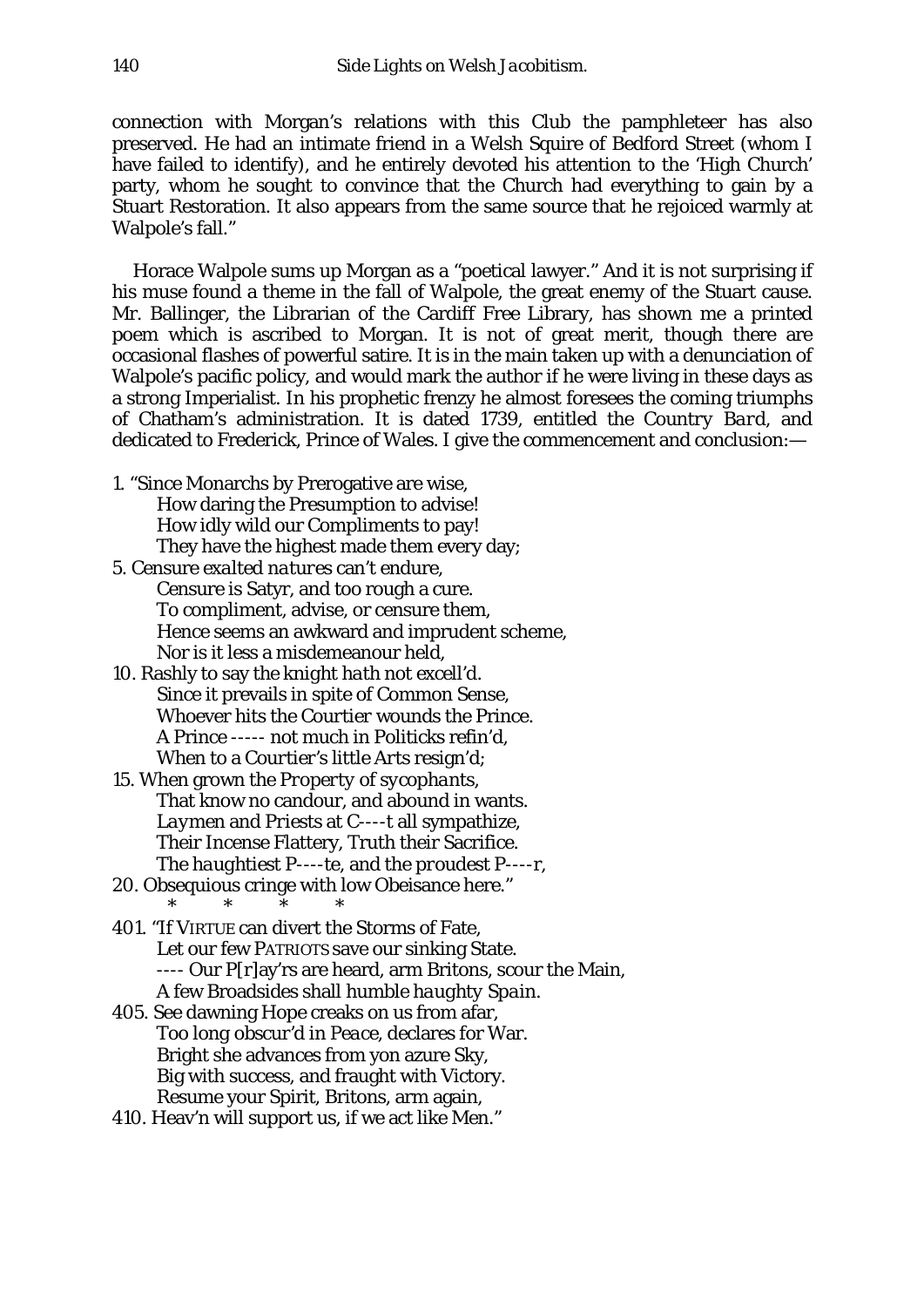connection with Morgan's relations with this Club the pamphleteer has also preserved. He had an intimate friend in a Welsh Squire of Bedford Street (whom I have failed to identify), and he entirely devoted his attention to the 'High Church' party, whom he sought to convince that the Church had everything to gain by a Stuart Restoration. It also appears from the same source that he rejoiced warmly at Walpole's fall."

Horace Walpole sums up Morgan as a "poetical lawyer." And it is not surprising if his muse found a theme in the fall of Walpole, the great enemy of the Stuart cause. Mr. Ballinger, the Librarian of the Cardiff Free Library, has shown me a printed poem which is ascribed to Morgan. It is not of great merit, though there are occasional flashes of powerful satire. It is in the main taken up with a denunciation of Walpole's pacific policy, and would mark the author if he were living in these days as a strong Imperialist. In his prophetic frenzy he almost foresees the coming triumphs of Chatham's administration. It is dated 1739, entitled the *Country Bard,* and dedicated to Frederick, Prince of Wales. I give the commencement and conclusion:—

- 1. "Since Monarchs by Prerogative are wise, How daring the Presumption to advise! How idly wild our *Compliments* to pay! They have the *highest* made them every day;
- 5. Censure *exalted natures* can't endure, Censure is Satyr, and too rough a cure. To compliment, advise, or censure them, Hence seems an awkward and imprudent scheme, Nor is it less a misdemeanour held,
- 10. Rashly to say *the knight hath not excell'd.* Since it prevails in spite of Common Sense, Whoever hits the *Courtier* wounds the Prince. A Prince ----- not much in Politicks refin'd, When to a *Courtier's little Arts* resign'd;
- 15. When grown the *Property* of *sycophants,* That know no candour, and abound in wants. *Laymen* and *Priests* at C----t all sympathize, Their Incense Flattery, Truth their Sacrifice. The *haughtiest* P----te, and the *proudest* P----r,
- 20. Obsequious cringe with low Obeisance here." \* \* \* \*
- 401. "If VIRTUE can divert the Storms of Fate, Let our few PATRIOTS save our sinking State. ---- Our P[r]ay'rs are heard, arm Britons, scour the Main, A few Broadsides shall humble *haughty Spain.*
- 405. See dawning Hope creaks on us from afar, *Too long obscur'd in Peace,* declares for War. Bright she advances from yon azure Sky, Big with success, and fraught with Victory. Resume your Spirit, Britons, arm again,
- 410. Heav'n will support us, if we act like Men."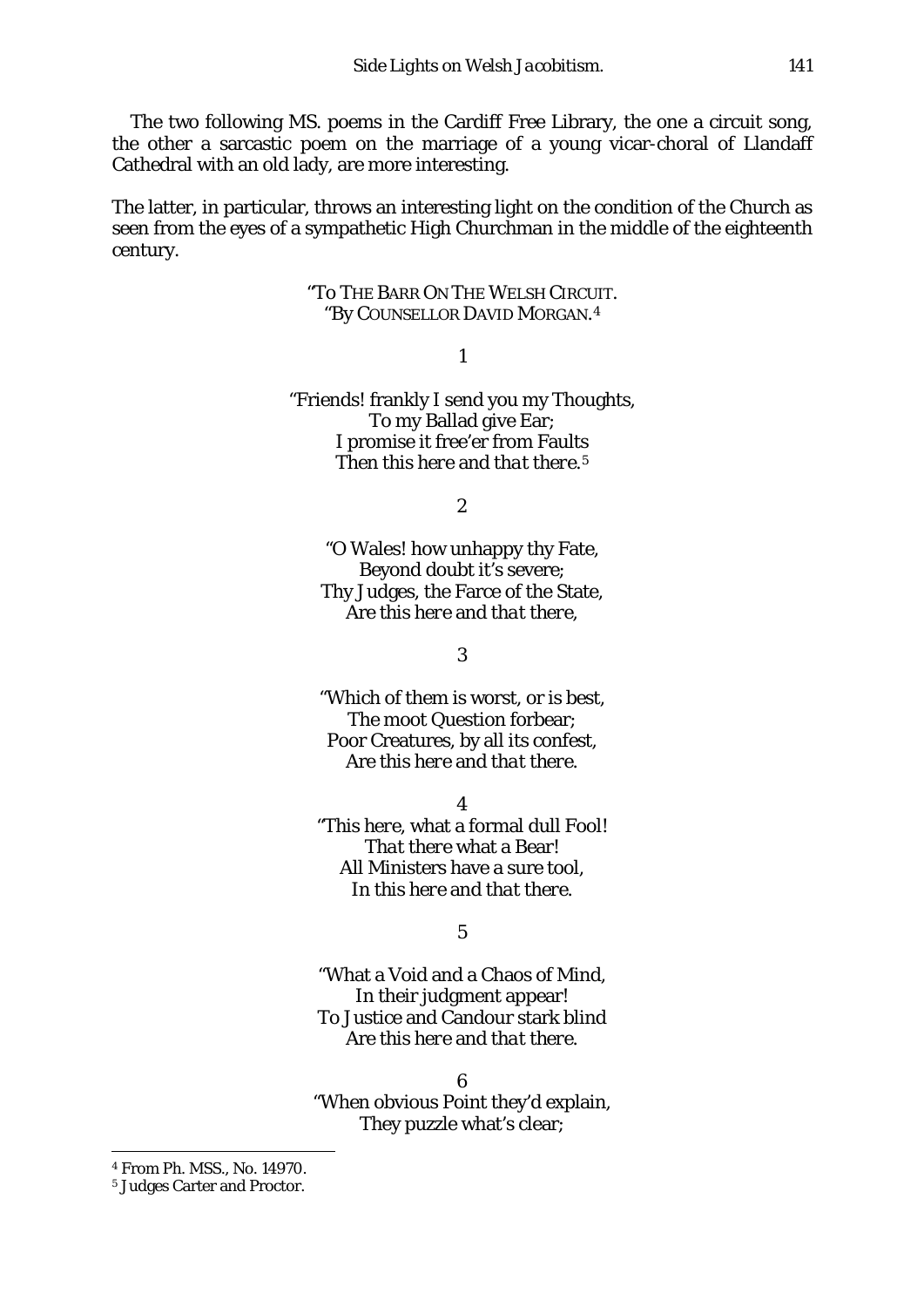The two following MS. poems in the Cardiff Free Library, the one a circuit song, the other a sarcastic poem on the marriage of a young vicar-choral of Llandaff Cathedral with an old lady, are more interesting.

The latter, in particular, throws an interesting light on the condition of the Church as seen from the eyes of a sympathetic High Churchman in the middle of the eighteenth century.

## "To THE BARR ON THE WELSH CIRCUIT. "By COUNSELLOR DAVID MORGAN.[4](#page-4-0)

1

"Friends! frankly I send you my Thoughts, To my Ballad give Ear; I promise it free'er from Faults Then *this here* and *that there.[5](#page-4-1)*

*2*

*"*O Wales! how unhappy thy Fate, Beyond doubt it's severe; Thy Judges, the Farce of the State, Are *this here* and *that there,*

3

"Which of them is worst, or is best, The moot Question forbear; Poor Creatures, by all its confest, Are *this here* and *that there.*

4

"*This here,* what a formal dull Fool! *That there* what a Bear! All Ministers have a sure tool, In *this here* and *that there.*

5

"What a Void and a Chaos of Mind, In their judgment appear! To Justice and Candour stark blind Are *this here* and *that there.*

6 "When obvious Point they'd explain, They puzzle what's clear;

 $\overline{a}$ 

<span id="page-4-0"></span><sup>4</sup> From Ph. MSS., No. 14970.

<span id="page-4-1"></span><sup>5</sup> Judges Carter and Proctor.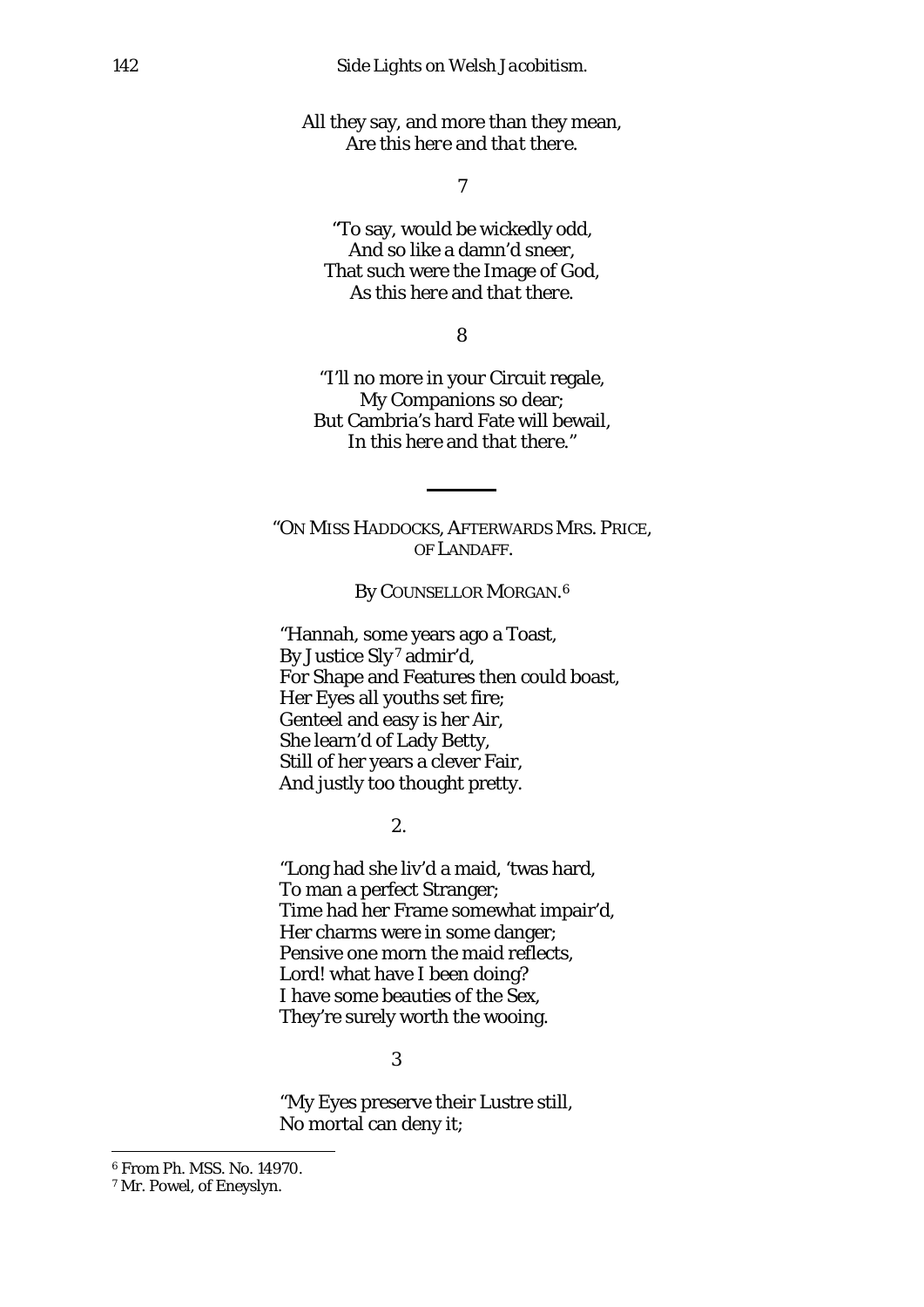All they say, and more than they mean, Are *this here* and *that there.*

*7*

*"*To say, would be wickedly odd, And so like a damn'd sneer, That such were the Image of God, As *this here* and *that there.*

8

"I'll no more in your Circuit regale, My Companions so dear; But Cambria's hard Fate will bewail, In *this here* and *that there."*

"ON MISS HADDOCKS, AFTERWARDS MRS. PRICE, OF LANDAFF.

By COUNSELLOR MORGAN.<sup>[6](#page-5-0)</sup>

"Hannah, some years ago a Toast, By Justice *Sly[7](#page-5-1)* admir'd, For Shape and Features then could boast, Her Eyes all youths set fire; Genteel and easy is her Air, She learn'd of Lady Betty, Still of her years a clever Fair, And justly too thought pretty.

2.

"Long had she liv'd a maid, 'twas hard, To man a perfect Stranger; Time had her Frame somewhat impair'd, Her charms were in some danger; Pensive one morn the maid reflects, Lord! what have I been doing? I have some beauties of the Sex, They're surely worth the wooing.

## 3

"My Eyes preserve their Lustre still, No mortal can deny it;

 $\overline{a}$ 

<span id="page-5-0"></span><sup>6</sup> From Ph. MSS. No. 14970.

<span id="page-5-1"></span><sup>7</sup> Mr. Powel, of Eneyslyn.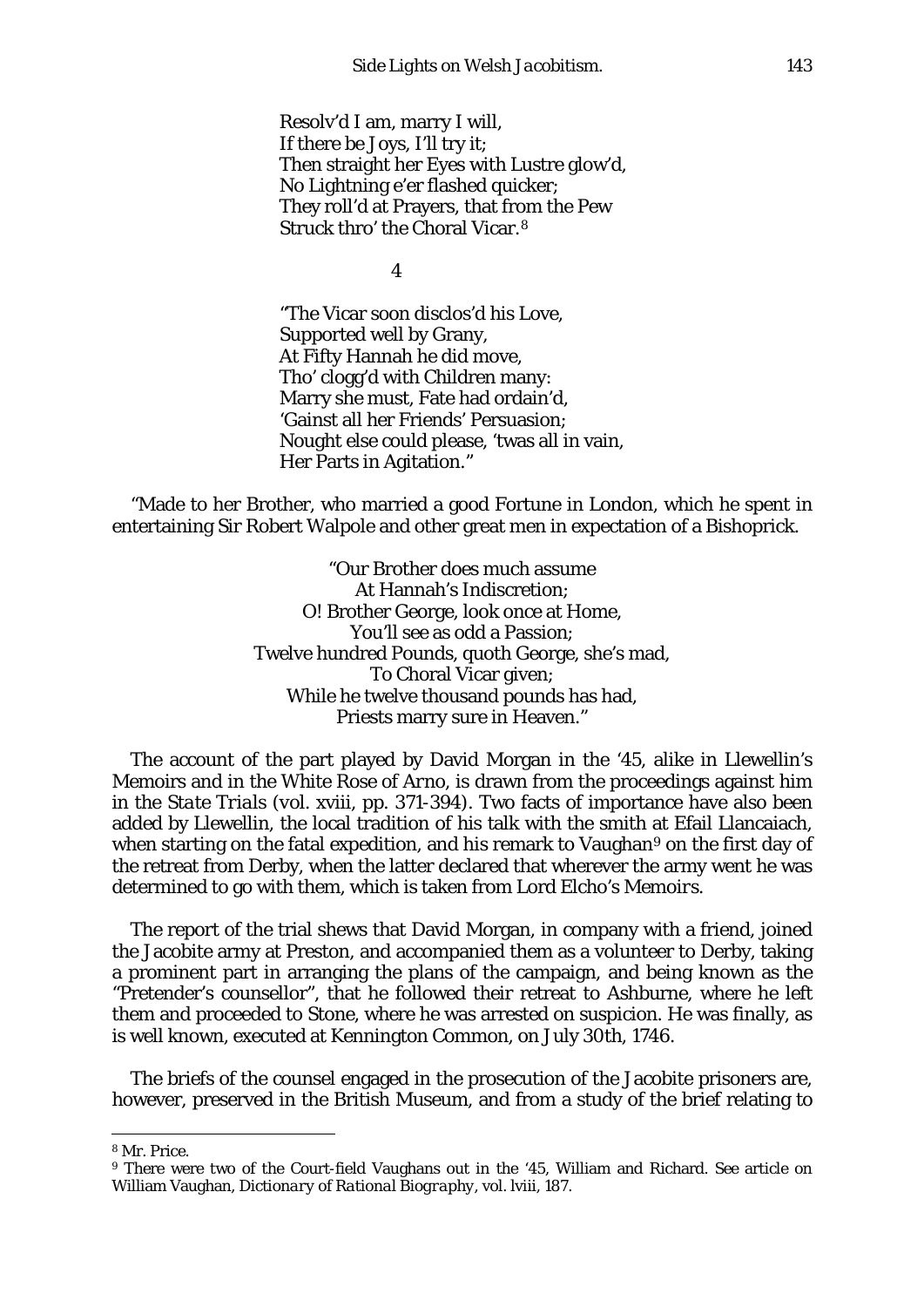Resolv'd I am, marry I will, If there be Joys, I'll try it; Then straight her Eyes with Lustre glow'd, No Lightning e'er flashed quicker; They roll'd at Prayers, that from the Pew Struck thro' the Choral Vicar.[8](#page-6-0)

4

"The Vicar soon disclos'd his Love, Supported well by Grany, At Fifty Hannah he did move, Tho' clogg'd with Children many: Marry she must, Fate had ordain'd, 'Gainst all her Friends' Persuasion; Nought else could please, 'twas all in vain, Her Parts in Agitation."

"Made to her Brother, who married a good Fortune in London, which he spent in entertaining Sir Robert Walpole and other great men in expectation of a Bishoprick.

> "Our Brother does much assume At Hannah's Indiscretion; O! Brother George, look once at Home, You'll see as odd a Passion; Twelve hundred Pounds, quoth George, she's mad, To Choral Vicar given; While he twelve thousand pounds has had, Priests marry sure in Heaven."

The account of the part played by David Morgan in the '45, alike in Llewellin's Memoirs and in the *White Rose of Arno,* is drawn from the proceedings against him in the *State Trials (vol.* xviii, pp. 371-394). Two facts of importance have also been added by Llewellin, the local tradition of his talk with the smith at Efail Llancaiach, when starting on the fatal expedition, and his remark to Vaughan<sup>[9](#page-6-1)</sup> on the first day of the retreat from Derby, when the latter declared that wherever the army went he was determined to go with them, which is taken from Lord Elcho's *Memoirs.*

The report of the trial shews that David Morgan, in company with a friend, joined the Jacobite army at Preston, and accompanied them as a volunteer to Derby, taking a prominent part in arranging the plans of the campaign, and being known as the "Pretender's counsellor", that he followed their retreat to Ashburne, where he left them and proceeded to Stone, where he was arrested on suspicion. He was finally, as is well known, executed at Kennington Common, on July 30th, 1746.

The briefs of the counsel engaged in the prosecution of the Jacobite prisoners are, however, preserved in the British Museum, and from a study of the brief relating to

**.** 

<span id="page-6-0"></span><sup>8</sup> Mr. Price.

<span id="page-6-1"></span><sup>9</sup> There were two of the Court-field Vaughans out in the '45, William and Richard. *See* article on William Vaughan, *Dictionary of Rational Biography,* vol. lviii, 187.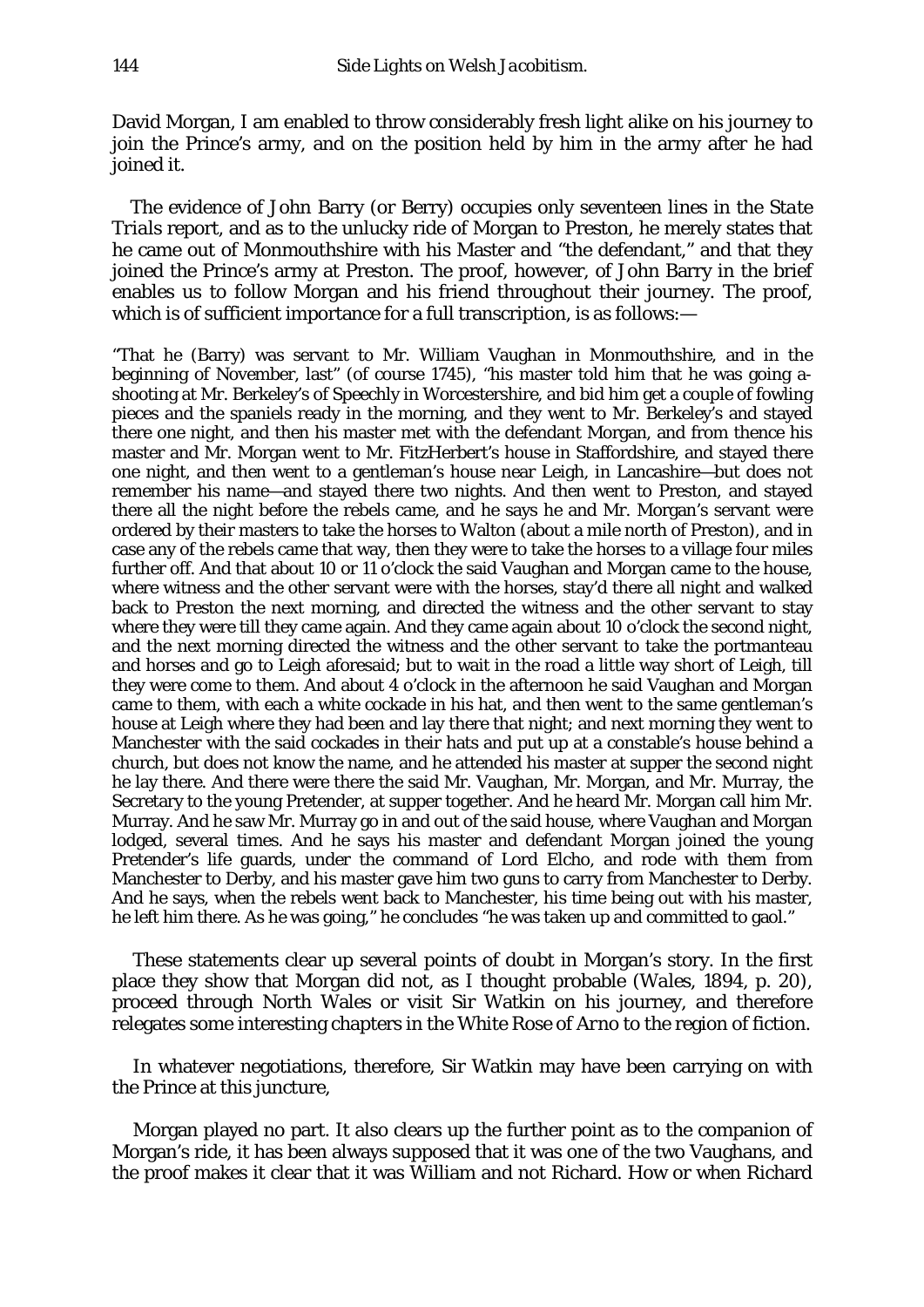David Morgan, I am enabled to throw considerably fresh light alike on his journey to join the Prince's army, and on the position held by him in the army after he had joined it.

The evidence of John Barry (or Berry) occupies only seventeen lines in the *State Trials* report, and as to the unlucky ride of Morgan to Preston, he merely states that he came out of Monmouthshire with his Master and "the defendant," and that they joined the Prince's army at Preston. The proof, however, of John Barry in the brief enables us to follow Morgan and his friend throughout their journey. The proof, which is of sufficient importance for a full transcription, is as follows:-

"That he (Barry) was servant to Mr. William Vaughan in Monmouthshire, and in the beginning of November, last" (of course 1745), "his master told him that he was going ashooting at Mr. Berkeley's of Speechly in Worcestershire, and bid him get a couple of fowling pieces and the spaniels ready in the morning, and they went to Mr. Berkeley's and stayed there one night, and then his master met with the defendant Morgan, and from thence his master and Mr. Morgan went to Mr. FitzHerbert's house in Staffordshire, and stayed there one night, and then went to a gentleman's house near Leigh, in Lancashire—but does not remember his name—and stayed there two nights. And then went to Preston, and stayed there all the night before the rebels came, and he says he and Mr. Morgan's servant were ordered by their masters to take the horses to Walton (about a mile north of Preston), and in case any of the rebels came that way, then they were to take the horses to a village four miles further off. And that about 10 or 11 o'clock the said Vaughan and Morgan came to the house, where witness and the other servant were with the horses, stay'd there all night and walked back to Preston the next morning, and directed the witness and the other servant to stay where they were till they came again. And they came again about 10 o'clock the second night, and the next morning directed the witness and the other servant to take the portmanteau and horses and go to Leigh aforesaid; but to wait in the road a little way short of Leigh, till they were come to them. And about 4 o'clock in the afternoon he said Vaughan and Morgan came to them, with each a white cockade in his hat, and then went to the same gentleman's house at Leigh where they had been and lay there that night; and next morning they went to Manchester with the said cockades in their hats and put up at a constable's house behind a church, but does not know the name, and he attended his master at supper the second night he lay there. And there were there the said Mr. Vaughan, Mr. Morgan, and Mr. Murray, the Secretary to the young Pretender, at supper together. And he heard Mr. Morgan call him Mr. Murray. And he saw Mr. Murray go in and out of the said house, where Vaughan and Morgan lodged, several times. And he says his master and defendant Morgan joined the young Pretender's life guards, under the command of Lord Elcho, and rode with them from Manchester to Derby, and his master gave him two guns to carry from Manchester to Derby. And he says, when the rebels went back to Manchester, his time being out with his master, he left him there. As he was going," he concludes "he was taken up and committed to gaol."

These statements clear up several points of doubt in Morgan's story. In the first place they show that Morgan did not, as I thought probable *(Wales,* 1894, p. 20), proceed through North Wales or visit Sir Watkin on his journey, and therefore relegates some interesting chapters in the *White Rose of Arno* to the region of fiction.

In whatever negotiations, therefore, Sir Watkin may have been carrying on with the Prince at this juncture,

Morgan played no part. It also clears up the further point as to the companion of Morgan's ride, it has been always supposed that it was one of the two Vaughans, and the proof makes it clear that it was William and not Richard. How or when Richard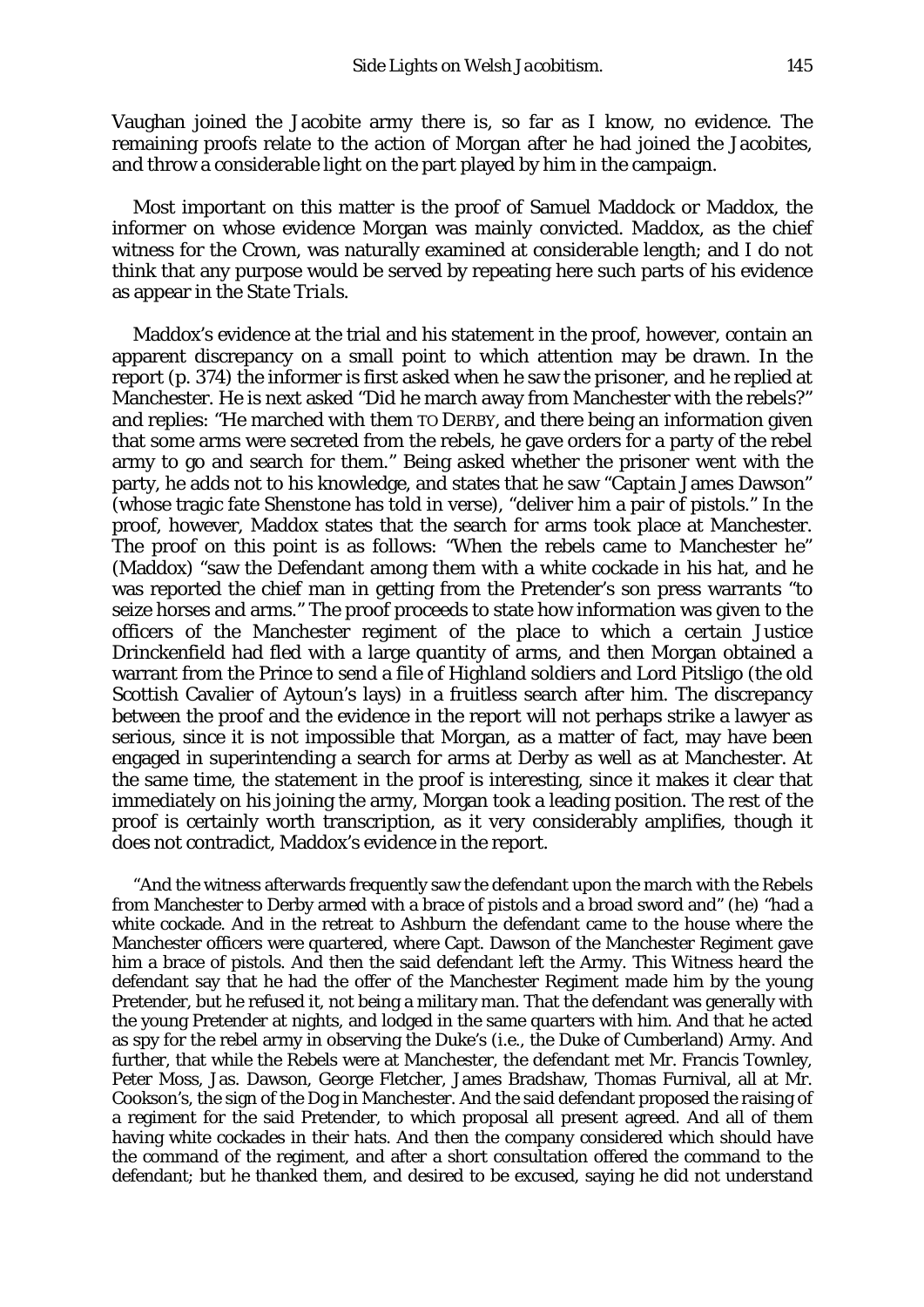Vaughan joined the Jacobite army there is, so far as I know, no evidence. The remaining proofs relate to the action of Morgan after he had joined the Jacobites, and throw a considerable light on the part played by him in the campaign.

Most important on this matter is the proof of Samuel Maddock or Maddox, the informer on whose evidence Morgan was mainly convicted. Maddox, as the chief witness for the Crown, was naturally examined at considerable length; and I do not think that any purpose would be served by repeating here such parts of his evidence as appear in the *State Trials.*

Maddox's evidence at the trial and his statement in the proof, however, contain an apparent discrepancy on a small point to which attention may be drawn. In the report (p. 374) the informer is first asked when he saw the prisoner, and he replied at Manchester. He is next asked "Did he march away from Manchester with the rebels?" and replies: "He marched with them TO DERBY, and there being an information given that some arms were secreted from the rebels, he gave orders for a party of the rebel army to go and search for them." Being asked whether the prisoner went with the party, he adds not to his knowledge, and states that he saw "Captain James Dawson" (whose tragic fate Shenstone has told in verse), "deliver him a pair of pistols." In the proof, however, Maddox states that the search for arms took place at Manchester. The proof on this point is as follows: "When the rebels came to Manchester he" (Maddox) "saw the Defendant among them with a white cockade in his hat, and he was reported the chief man in getting from the Pretender's son press warrants "to seize horses and arms." The proof proceeds to state how information was given to the officers of the Manchester regiment of the place to which a certain Justice Drinckenfield had fled with a large quantity of arms, and then Morgan obtained a warrant from the Prince to send a file of Highland soldiers and Lord Pitsligo (the old Scottish Cavalier of Aytoun's lays) in a fruitless search after him. The discrepancy between the proof and the evidence in the report will not perhaps strike a lawyer as serious, since it is not impossible that Morgan, as a matter of fact, may have been engaged in superintending a search for arms at Derby as well as at Manchester. At the same time, the statement in the proof is interesting, since it makes it clear that immediately on his joining the army, Morgan took a leading position. The rest of the proof is certainly worth transcription, as it very considerably amplifies, though it does not contradict, Maddox's evidence in the report.

"And the witness afterwards frequently saw the defendant upon the march with the Rebels from Manchester to Derby armed with a brace of pistols and a broad sword and" (he) "had a white cockade. And in the retreat to Ashburn the defendant came to the house where the Manchester officers were quartered, where Capt. Dawson of the Manchester Regiment gave him a brace of pistols. And then the said defendant left the Army. This Witness heard the defendant say that he had the offer of the Manchester Regiment made him by the young Pretender, but he refused it, not being a military man. That the defendant was generally with the young Pretender at nights, and lodged in the same quarters with him. And that he acted as spy for the rebel army in observing the Duke's (*i.e.,* the Duke of Cumberland) Army. And further, that while the Rebels were at Manchester, the defendant met Mr. Francis Townley, Peter Moss, Jas. Dawson, George Fletcher, James Bradshaw, Thomas Furnival, all at Mr. Cookson's, the sign of the Dog in Manchester. And the said defendant proposed the raising of a regiment for the said Pretender, to which proposal all present agreed. And all of them having white cockades in their hats. And then the company considered which should have the command of the regiment, and after a short consultation offered the command to the defendant; but he thanked them, and desired to be excused, saying he did not understand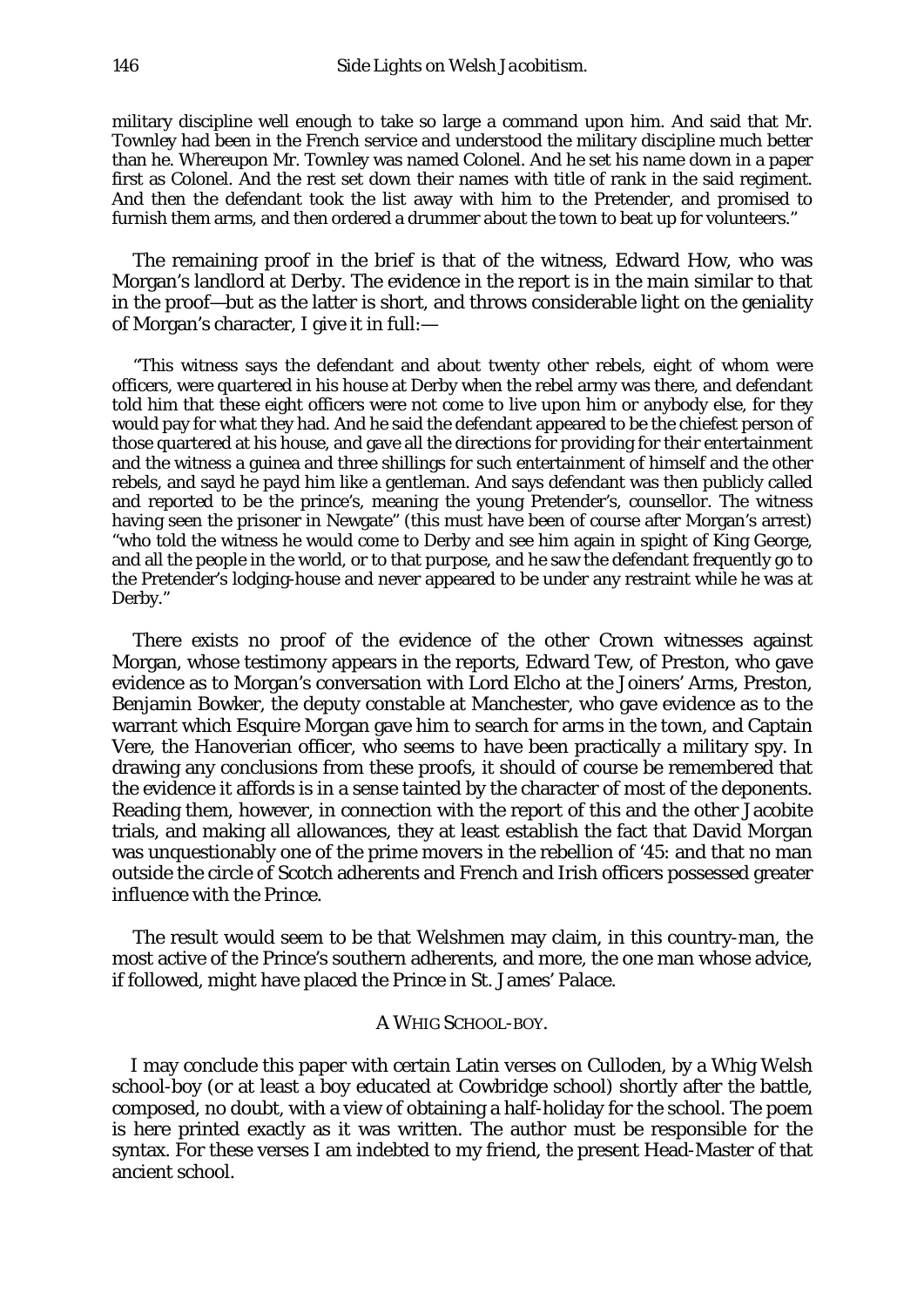military discipline well enough to take so large a command upon him. And said that Mr. Townley had been in the French service and understood the military discipline much better than he. Whereupon Mr. Townley was named Colonel. And he set his name down in a paper first as Colonel. And the rest set down their names with title of rank in the said regiment. And then the defendant took the list away with him to the Pretender, and promised to furnish them arms, and then ordered a drummer about the town to beat up for volunteers."

The remaining proof in the brief is that of the witness, Edward How, who was Morgan's landlord at Derby. The evidence in the report is in the main similar to that in the proof—but as the latter is short, and throws considerable light on the geniality of Morgan's character, I give it in full:—

"This witness says the defendant and about twenty other rebels, eight of whom were officers, were quartered in his house at Derby when the rebel army was there, and defendant told him that these eight officers were not come to live upon him or anybody else, for they would pay for what they had. And he said the defendant appeared to be the chiefest person of those quartered at his house, and gave all the directions for providing for their entertainment and the witness a guinea and three shillings for such entertainment of himself and the other rebels, and sayd he payd him like a gentleman. And says defendant was then publicly called and reported to be the prince's, meaning the young Pretender's, counsellor. The witness having seen the prisoner in Newgate" (this must have been of course after Morgan's arrest) "who told the witness he would come to Derby and see him again in spight of King George, and all the people in the world, or to that purpose, and he saw the defendant frequently go to the Pretender's lodging-house and never appeared to be under any restraint while he was at Derby."

There exists no proof of the evidence of the other Crown witnesses against Morgan, whose testimony appears in the reports, Edward Tew, of Preston, who gave evidence as to Morgan's conversation with Lord Elcho at the Joiners' Arms, Preston, Benjamin Bowker, the deputy constable at Manchester, who gave evidence as to the warrant which Esquire Morgan gave him to search for arms in the town, and Captain Vere, the Hanoverian officer, who seems to have been practically a military spy. In drawing any conclusions from these proofs, it should of course be remembered that the evidence it affords is in a sense tainted by the character of most of the deponents. Reading them, however, in connection with the report of this and the other Jacobite trials, and making all allowances, they at least establish the fact that David Morgan was unquestionably one of the prime movers in the rebellion of '45: and that no man outside the circle of Scotch adherents and French and Irish officers possessed greater influence with the Prince.

The result would seem to be that Welshmen may claim, in this country-man, the most active of the Prince's southern adherents, and more, the one man whose advice, if followed, might have placed the Prince in St. James' Palace.

## A WHIG SCHOOL-BOY.

I may conclude this paper with certain Latin verses on Culloden, by a Whig Welsh school-boy (or at least a boy educated at Cowbridge school) shortly after the battle, composed, no doubt, with a view of obtaining a half-holiday for the school. The poem is here printed exactly as it was written. The author must be responsible for the syntax. For these verses I am indebted to my friend, the present Head-Master of that ancient school.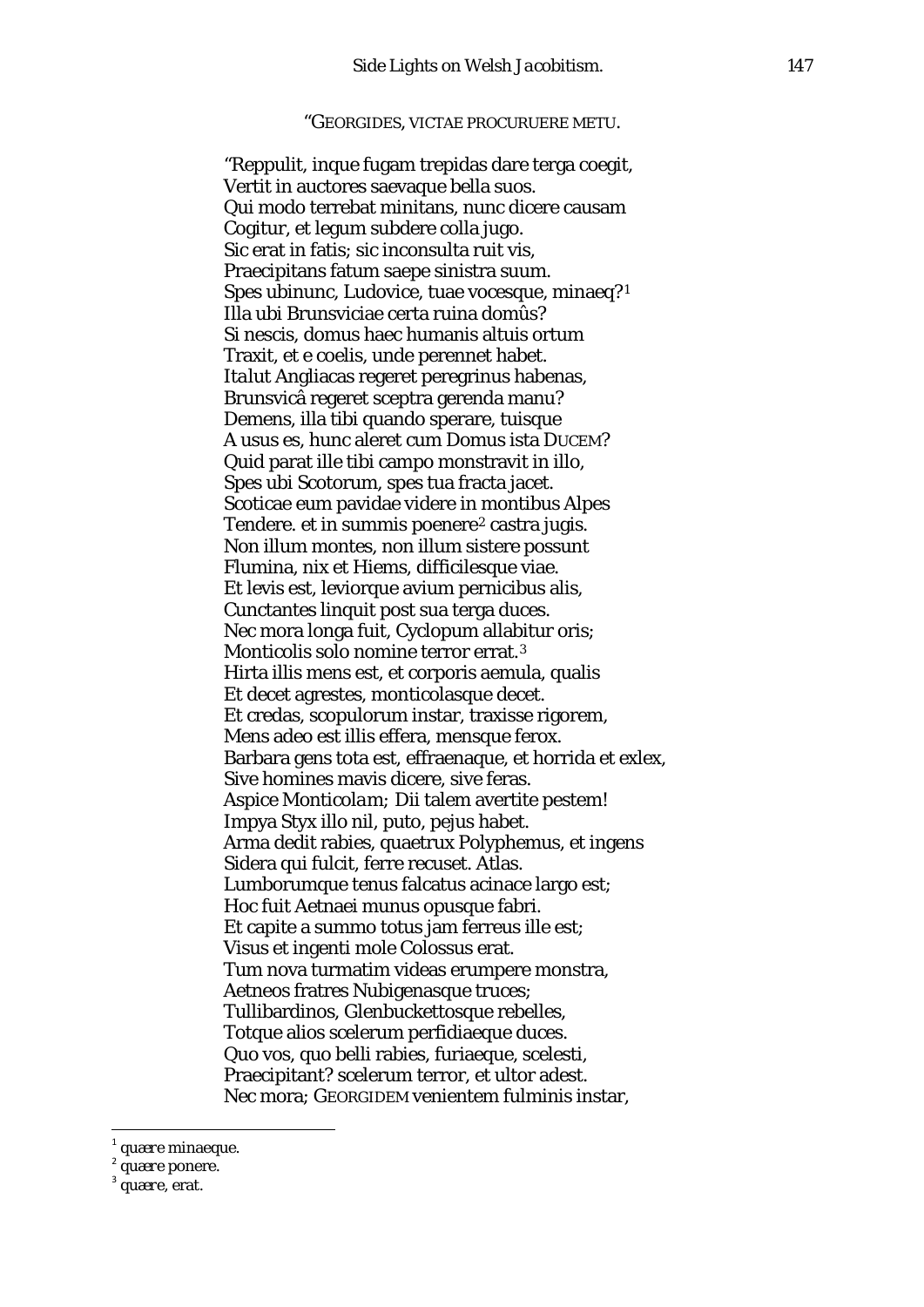#### "GEORGIDES, VICTAE PROCURUERE METU.

"Reppulit, inque fugam trepidas dare terga coegit, Vertit in auctores saevaque bella suos. Qui modo terrebat minitans, nunc dicere causam Cogitur, et legum subdere colla jugo. Sic erat in fatis; sic inconsulta ruit vis, Praecipitans fatum saepe sinistra suum. Spes ubinunc, Ludovice, tuae vocesque, minaeq?[1](#page-10-0) Illa ubi Brunsviciae certa ruina domûs? Si nescis, domus haec humanis altuis ortum Traxit, et e coelis, unde perennet habet. *Italut* Angliacas regeret peregrinus habenas, Brunsvicâ regeret sceptra gerenda manu? Demens, illa tibi quando sperare, tuisque A usus es, hunc aleret cum Domus ista DUCEM? Quid parat ille tibi campo monstravit in illo, Spes ubi Scotorum, spes tua fracta jacet. Scoticae eum pavidae videre in montibus Alpes Tendere. et in summis poenere<sup>[2](#page-10-1)</sup> castra jugis. Non illum montes, non illum sistere possunt Flumina, nix et Hiems, difficilesque viae. Et levis est, leviorque avium pernicibus alis, Cunctantes linquit post sua terga duces. Nec mora longa fuit, Cyclopum allabitur oris; Monticolis solo nomine terror errat.[3](#page-10-2) Hirta illis mens est, et corporis aemula, qualis Et decet agrestes, monticolasque decet. Et credas, scopulorum instar, traxisse rigorem, Mens adeo est illis effera, mensque ferox. Barbara gens tota est, effraenaque, et horrida et exlex, Sive homines mavis dicere, sive feras. Aspice *Monticolam;* Dii talem avertite pestem! Impya Styx illo nil, puto, pejus habet. Arma dedit rabies, quaetrux Polyphemus, et ingens Sidera qui fulcit, ferre recuset. Atlas. Lumborumque tenus falcatus acinace largo est; Hoc fuit Aetnaei munus opusque fabri. Et capite a summo totus jam ferreus ille est; Visus et ingenti mole Colossus erat. Tum nova turmatim videas erumpere monstra, Aetneos fratres Nubigenasque truces; Tullibardinos, Glenbuckettosque rebelles, Totque alios scelerum perfidiaeque duces. Quo vos, quo belli rabies, furiaeque, scelesti, Praecipitant? scelerum terror, et ultor adest. Nec mora; GEORGIDEM venientem fulminis instar,

<span id="page-10-1"></span><span id="page-10-0"></span><sup>1</sup> *quære* minaeque. <sup>2</sup> *quære* ponere. <sup>3</sup> *quære,* erat.

<span id="page-10-2"></span>